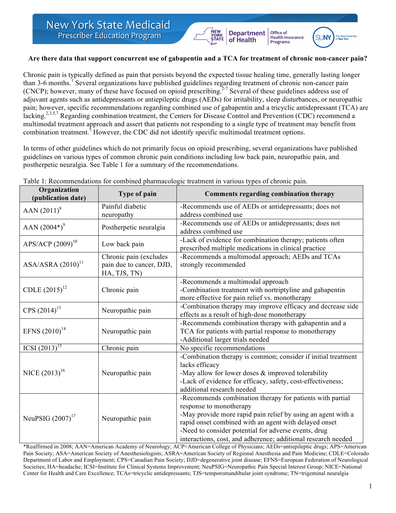## **Are there data that support concurrent use of gabapentin and a TCA for treatment of chronic non-cancer pain?**

**Department** 

of Health

Office of

**Health Insurance**<br>Programs

 $S1$  INN

Chronic pain is typically defined as pain that persists beyond the expected tissue healing time, generally lasting longer than 3-6 months.<sup>1</sup> Several organizations have published guidelines regarding treatment of chronic non-cancer pain  $(CNCP)$ ; however, many of these have focused on opioid prescribing.<sup>2-7</sup> Several of these guidelines address use of adjuvant agents such as antidepressants or antiepileptic drugs (AEDs) for irritability, sleep disturbances, or neuropathic pain; however, specific recommendations regarding combined use of gabapentin and a tricyclic antidepressant (TCA) are lacking.<sup>2,3,5,7</sup> Regarding combination treatment, the Centers for Disease Control and Prevention (CDC) recommend a multimodal treatment approach and assert that patients not responding to a single type of treatment may benefit from combination treatment.<sup>5</sup> However, the CDC did not identify specific multimodal treatment options.

In terms of other guidelines which do not primarily focus on opioid prescribing, several organizations have published guidelines on various types of common chronic pain conditions including low back pain, neuropathic pain, and postherpetic neuralgia. See Table 1 for a summary of the recommendations.

| Organization<br>(publication date) | Type of pain                                                       | Comments regarding combination therapy                                                                                                                                                                                                                                                                                                 |
|------------------------------------|--------------------------------------------------------------------|----------------------------------------------------------------------------------------------------------------------------------------------------------------------------------------------------------------------------------------------------------------------------------------------------------------------------------------|
| AAN $(2011)^8$                     | Painful diabetic<br>neuropathy                                     | -Recommends use of AEDs or antidepressants; does not<br>address combined use                                                                                                                                                                                                                                                           |
| AAN $(2004^*)^9$                   | Postherpetic neuralgia                                             | -Recommends use of AEDs or antidepressants; does not<br>address combined use                                                                                                                                                                                                                                                           |
| APS/ACP $(2009)^{10}$              | Low back pain                                                      | -Lack of evidence for combination therapy; patients often<br>prescribed multiple medications in clinical practice                                                                                                                                                                                                                      |
| ASA/ASRA(2010) <sup>11</sup>       | Chronic pain (excludes<br>pain due to cancer, DJD,<br>HA, TJS, TN) | -Recommends a multimodal approach; AEDs and TCAs<br>strongly recommended                                                                                                                                                                                                                                                               |
| CDLE $(2015)^{12}$                 | Chronic pain                                                       | -Recommends a multimodal approach<br>-Combination treatment with nortriptyline and gabapentin<br>more effective for pain relief vs. monotherapy                                                                                                                                                                                        |
| CPS (2014) <sup>13</sup>           | Neuropathic pain                                                   | -Combination therapy may improve efficacy and decrease side<br>effects as a result of high-dose monotherapy                                                                                                                                                                                                                            |
| EFNS $(2010)^{14}$                 | Neuropathic pain                                                   | -Recommends combination therapy with gabapentin and a<br>TCA for patients with partial response to monotherapy<br>-Additional larger trials needed                                                                                                                                                                                     |
| ICSI $\overline{(2013)^{15}}$      | Chronic pain                                                       | No specific recommendations                                                                                                                                                                                                                                                                                                            |
| NICE $(2013)^{16}$                 | Neuropathic pain                                                   | -Combination therapy is common; consider if initial treatment<br>lacks efficacy<br>-May allow for lower doses $&$ improved tolerability<br>-Lack of evidence for efficacy, safety, cost-effectiveness;<br>additional research needed                                                                                                   |
| NeuPSIG $(2007)^{17}$              | Neuropathic pain                                                   | -Recommends combination therapy for patients with partial<br>response to monotherapy<br>-May provide more rapid pain relief by using an agent with a<br>rapid onset combined with an agent with delayed onset<br>-Need to consider potential for adverse events, drug<br>interactions, cost, and adherence; additional research needed |

Table 1: Recommendations for combined pharmacologic treatment in various types of chronic pain.

\*Reaffirmed in 2008; AAN=American Academy of Neurology; ACP=American College of Physicians; AEDs=antiepileptic drugs; APS=American Pain Society; ASA=American Society of Anesthesiologists; ASRA=American Society of Regional Anesthesia and Pain Medicine; CDLE=Colorado Department of Labor and Employment; CPS=Canadian Pain Society; DJD=degenerative joint disease; EFNS=European Federation of Neurological Societies; HA=headache; ICSI=Institute for Clinical Systems Improvement; NeuPSIG=Neuropathic Pain Special Interest Group; NICE=National Center for Health and Care Excellence; TCAs=tricyclic antidepressants; TJS=temporomandibular joint syndrome; TN=trigeminal neuralgia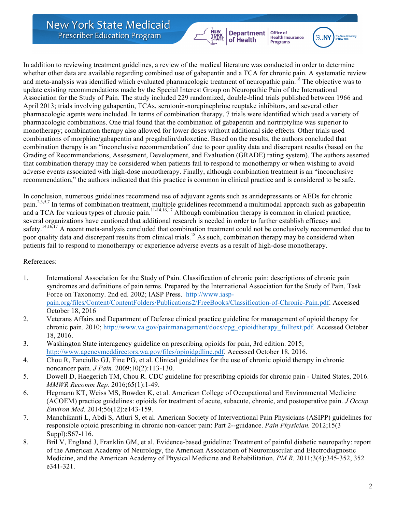In addition to reviewing treatment guidelines, a review of the medical literature was conducted in order to determine whether other data are available regarding combined use of gabapentin and a TCA for chronic pain. A systematic review and meta-analysis was identified which evaluated pharmacologic treatment of neuropathic pain.<sup>18</sup> The objective was to update existing recommendations made by the Special Interest Group on Neuropathic Pain of the International Association for the Study of Pain. The study included 229 randomized, double-blind trials published between 1966 and April 2013; trials involving gabapentin, TCAs, serotonin-norepinephrine reuptake inhibitors, and several other pharmacologic agents were included. In terms of combination therapy, 7 trials were identified which used a variety of pharmacologic combinations. One trial found that the combination of gabapentin and nortriptyline was superior to monotherapy; combination therapy also allowed for lower doses without additional side effects. Other trials used combinations of morphine/gabapentin and pregabalin/duloxetine. Based on the results, the authors concluded that combination therapy is an "inconclusive recommendation" due to poor quality data and discrepant results (based on the Grading of Recommendations, Assessment, Development, and Evaluation (GRADE) rating system). The authors asserted that combination therapy may be considered when patients fail to respond to monotherapy or when wishing to avoid adverse events associated with high-dose monotherapy. Finally, although combination treatment is an "inconclusive recommendation," the authors indicated that this practice is common in clinical practice and is considered to be safe.

**Department** 

of Health

YORK<br>STATE

Office of

**Health Insurance**<br>Programs

In conclusion, numerous guidelines recommend use of adjuvant agents such as antidepressants or AEDs for chronic pain.<sup>2,3,5,7</sup> In terms of combination treatment, multiple guidelines recommend a multimodal approach such as gabapentin and a TCA for various types of chronic pain.<sup>11-14,16,17</sup> Although combination therapy is common in clinical practice, several organizations have cautioned that additional research is needed in order to further establish efficacy and safety.<sup>14,16,17</sup> A recent meta-analysis concluded that combination treatment could not be conclusively recommended due to poor quality data and discrepant results from clinical trials.<sup>18</sup> As such, combination therapy may be considered when patients fail to respond to monotherapy or experience adverse events as a result of high-dose monotherapy.

## References:

- 1. International Association for the Study of Pain. Classification of chronic pain: descriptions of chronic pain syndromes and definitions of pain terms. Prepared by the International Association for the Study of Pain, Task Force on Taxonomy. 2nd ed. 2002; IASP Press. http://www.iasppain.org/files/Content/ContentFolders/Publications2/FreeBooks/Classification-of-Chronic-Pain.pdf. Accessed October 18, 2016
- 2. Veterans Affairs and Department of Defense clinical practice guideline for management of opioid therapy for chronic pain. 2010; http://www.va.gov/painmanagement/docs/cpg\_opioidtherapy\_fulltext.pdf. Accessed October 18, 2016.
- 3. Washington State interagency guideline on prescribing opioids for pain, 3rd edition. 2015; http://www.agencymeddirectors.wa.gov/files/opioidgdline.pdf. Accessed October 18, 2016.
- 4. Chou R, Fanciullo GJ, Fine PG, et al. Clinical guidelines for the use of chronic opioid therapy in chronic noncancer pain. *J Pain.* 2009;10(2):113-130.
- 5. Dowell D, Haegerich TM, Chou R. CDC guideline for prescribing opioids for chronic pain United States, 2016. *MMWR Recomm Rep.* 2016;65(1):1-49.
- 6. Hegmann KT, Weiss MS, Bowden K, et al. American College of Occupational and Environmental Medicine (ACOEM) practice guidelines: opioids for treatment of acute, subacute, chronic, and postoperative pain. *J Occup Environ Med.* 2014;56(12):e143-159.
- 7. Manchikanti L, Abdi S, Atluri S, et al. American Society of Interventional Pain Physicians (ASIPP) guidelines for responsible opioid prescribing in chronic non-cancer pain: Part 2--guidance. *Pain Physician.* 2012;15(3 Suppl):S67-116.
- 8. Bril V, England J, Franklin GM, et al. Evidence-based guideline: Treatment of painful diabetic neuropathy: report of the American Academy of Neurology, the American Association of Neuromuscular and Electrodiagnostic Medicine, and the American Academy of Physical Medicine and Rehabilitation. *PM R.* 2011;3(4):345-352, 352 e341-321.